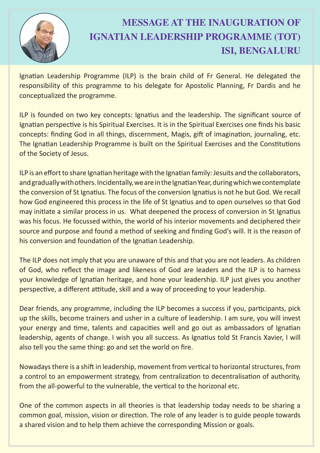

## **MESSAGE AT THE INAUGURATION OF IGNATIAN LEADERSHIP PROGRAMME (TOT) ISI, BENGALURU**

Ignatian Leadership Programme (ILP) is the brain child of Fr General. He delegated the responsibility of this programme to his delegate for Apostolic Planning, Fr Dardis and he conceptualized the programme.

ILP is founded on two key concepts: Ignatius and the leadership. The significant source of Ignatian perspective is his Spiritual Exercises. It is in the Spiritual Exercises one finds his basic concepts: finding God in all things, discernment, Magis, gift of imagination, journaling, etc. The Ignatian Leadership Programme is built on the Spiritual Exercises and the Constitutions of the Society of Jesus.

ILP is an effort to share Ignatian heritage with the Ignatian family: Jesuits and the collaborators, and gradually with others. Incidentally, we are in the Ignatian Year, during which we contemplate the conversion of St Ignatius. The focus of the conversion Ignatius is not he but God. We recall how God engineered this process in the life of St Ignatius and to open ourselves so that God may initiate a similar process in us. What deepened the process of conversion in St Ignatius was his focus. He focussed within, the world of his interior movements and deciphered their source and purpose and found a method of seeking and finding God's will. It is the reason of his conversion and foundation of the Ignatian Leadership.

The ILP does not imply that you are unaware of this and that you are not leaders. As children of God, who reflect the image and likeness of God are leaders and the ILP is to harness your knowledge of Ignatian heritage, and hone your leadership. ILP just gives you another perspective, a different attitude, skill and a way of proceeding to your leadership.

Dear friends, any programme, including the ILP becomes a success if you, participants, pick up the skills, become trainers and usher in a culture of leadership. I am sure, you will invest your energy and time, talents and capacities well and go out as ambassadors of Ignatian leadership, agents of change. I wish you all success. As Ignatius told St Francis Xavier, I will also tell you the same thing: go and set the world on fire.

Nowadays there is a shift in leadership, movement from vertical to horizontal structures, from a control to an empowerment strategy, from centralization to decentralisation of authority, from the all-powerful to the vulnerable, the vertical to the horizonal etc.

One of the common aspects in all theories is that leadership today needs to be sharing a common goal, mission, vision or direction. The role of any leader is to guide people towards a shared vision and to help them achieve the corresponding Mission or goals.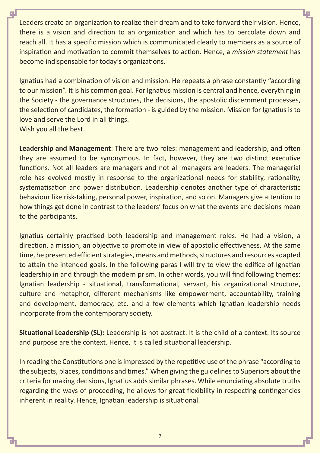Leaders create an organization to realize their dream and to take forward their vision. Hence, there is a vision and direction to an organization and which has to percolate down and reach all. It has a specific mission which is communicated clearly to members as a source of inspiration and motivation to commit themselves to action. Hence, a *mission statement* has become indispensable for today's organizations.

Ignatius had a combination of vision and mission. He repeats a phrase constantly "according to our mission". It is his common goal. For Ignatius mission is central and hence, everything in the Society - the governance structures, the decisions, the apostolic discernment processes, the selection of candidates, the formation - is guided by the mission. Mission for Ignatius is to love and serve the Lord in all things. Wish you all the best.

**Leadership and Management**: There are two roles: management and leadership, and often they are assumed to be synonymous. In fact, however, they are two distinct executive functions. Not all leaders are managers and not all managers are leaders. The managerial role has evolved mostly in response to the organizational needs for stability, rationality, systematisation and power distribution. Leadership denotes another type of characteristic behaviour like risk-taking, personal power, inspiration, and so on. Managers give attention to how things get done in contrast to the leaders' focus on what the events and decisions mean to the participants.

Ignatius certainly practised both leadership and management roles. He had a vision, a direction, a mission, an objective to promote in view of apostolic effectiveness. At the same time, he presented efficient strategies, means and methods, structures and resources adapted to attain the intended goals. In the following paras I will try to view the edifice of Ignatian leadership in and through the modern prism. In other words, you will find following themes: Ignatian leadership - situational, transformational, servant, his organizational structure, culture and metaphor, different mechanisms like empowerment, accountability, training and development, democracy, etc. and a few elements which Ignatian leadership needs incorporate from the contemporary society.

**Situational Leadership (SL):** Leadership is not abstract. It is the child of a context. Its source and purpose are the context. Hence, it is called situational leadership.

In reading the Constitutions one is impressed by the repetitive use of the phrase "according to the subjects, places, conditions and times." When giving the guidelines to Superiors about the criteria for making decisions, Ignatius adds similar phrases. While enunciating absolute truths regarding the ways of proceeding, he allows for great flexibility in respecting contingencies inherent in reality. Hence, Ignatian leadership is situational.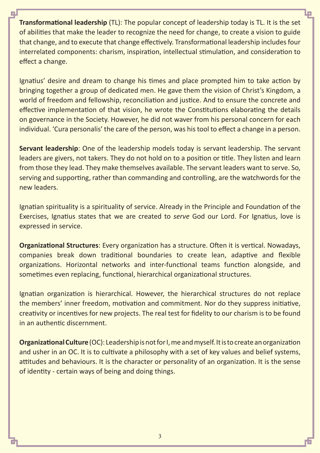**Transformational leadership** (TL): The popular concept of leadership today is TL. It is the set of abilities that make the leader to recognize the need for change, to create a vision to guide that change, and to execute that change effectively. Transformational leadership includes four interrelated components: charism, inspiration, intellectual stimulation, and consideration to effect a change.

Ignatius' desire and dream to change his times and place prompted him to take action by bringing together a group of dedicated men. He gave them the vision of Christ's Kingdom, a world of freedom and fellowship, reconciliation and justice. And to ensure the concrete and effective implementation of that vision, he wrote the Constitutions elaborating the details on governance in the Society. However, he did not waver from his personal concern for each individual. 'Cura personalis' the care of the person, was his tool to effect a change in a person.

**Servant leadership**: One of the leadership models today is servant leadership. The servant leaders are givers, not takers. They do not hold on to a position or title. They listen and learn from those they lead. They make themselves available. The servant leaders want to serve. So, serving and supporting, rather than commanding and controlling, are the watchwords for the new leaders.

Ignatian spirituality is a spirituality of service. Already in the Principle and Foundation of the Exercises, Ignatius states that we are created to *serve* God our Lord. For Ignatius, love is expressed in service.

**Organizational Structures**: Every organization has a structure. Often it is vertical. Nowadays, companies break down traditional boundaries to create lean, adaptive and flexible organizations. Horizontal networks and inter-functional teams function alongside, and sometimes even replacing, functional, hierarchical organizational structures.

Ignatian organization is hierarchical. However, the hierarchical structures do not replace the members' inner freedom, motivation and commitment. Nor do they suppress initiative, creativity or incentives for new projects. The real test for fidelity to our charism is to be found in an authentic discernment.

**Organizational Culture** (OC): Leadership is not for I, me and myself. It is to create an organization and usher in an OC. It is to cultivate a philosophy with a set of key values and belief systems, attitudes and behaviours. It is the character or personality of an organization. It is the sense of identity - certain ways of being and doing things.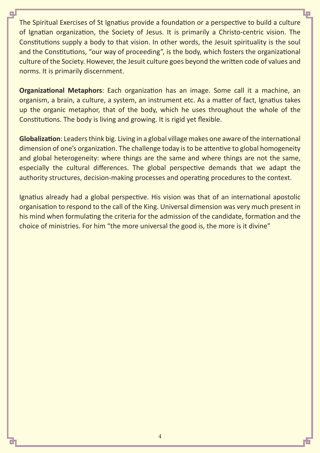The Spiritual Exercises of St Ignatius provide a foundation or a perspective to build a culture of Ignatian organization, the Society of Jesus. It is primarily a Christo-centric vision. The Constitutions supply a body to that vision. In other words, the Jesuit spirituality is the soul and the Constitutions, "our way of proceeding", is the body, which fosters the organizational culture of the Society. However, the Jesuit culture goes beyond the written code of values and norms. It is primarily discernment.

**Organizational Metaphors**: Each organization has an image. Some call it a machine, an organism, a brain, a culture, a system, an instrument etc. As a matter of fact, Ignatius takes up the organic metaphor, that of the body, which he uses throughout the whole of the Constitutions. The body is living and growing. It is rigid yet flexible.

**Globalization**: Leaders think big. Living in a global village makes one aware of the international dimension of one's organization. The challenge today is to be attentive to global homogeneity and global heterogeneity: where things are the same and where things are not the same, especially the cultural differences. The global perspective demands that we adapt the authority structures, decision-making processes and operating procedures to the context.

Ignatius already had a global perspective. His vision was that of an international apostolic organisation to respond to the call of the King. Universal dimension was very much present in his mind when formulating the criteria for the admission of the candidate, formation and the choice of ministries. For him "the more universal the good is, the more is it divine"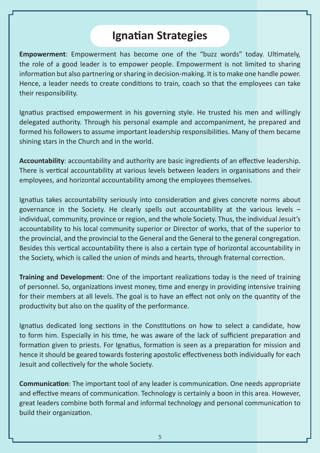## **Ignatian Strategies**

**Empowerment**: Empowerment has become one of the "buzz words" today. Ultimately, the role of a good leader is to empower people. Empowerment is not limited to sharing information but also partnering or sharing in decision-making. It is to make one handle power. Hence, a leader needs to create conditions to train, coach so that the employees can take their responsibility.

Ignatius practised empowerment in his governing style. He trusted his men and willingly delegated authority. Through his personal example and accompaniment, he prepared and formed his followers to assume important leadership responsibilities. Many of them became shining stars in the Church and in the world.

Accountability: accountability and authority are basic ingredients of an effective leadership. There is vertical accountability at various levels between leaders in organisations and their employees, and horizontal accountability among the employees themselves.

Ignatius takes accountability seriously into consideration and gives concrete norms about governance in the Society. He clearly spells out accountability at the various levels – individual, community, province or region, and the whole Society. Thus, the individual Jesuit's accountability to his local community superior or Director of works, that of the superior to the provincial, and the provincial to the General and the General to the general congregation. Besides this vertical accountability there is also a certain type of horizontal accountability in the Society, which is called the union of minds and hearts, through fraternal correction.

**Training and Development:** One of the important realizations today is the need of training of personnel. So, organizations invest money, time and energy in providing intensive training for their members at all levels. The goal is to have an effect not only on the quantity of the productivity but also on the quality of the performance.

Ignatius dedicated long sections in the Constitutions on how to select a candidate, how to form him. Especially in his time, he was aware of the lack of sufficient preparation and formation given to priests. For Ignatius, formation is seen as a preparation for mission and hence it should be geared towards fostering apostolic effectiveness both individually for each Jesuit and collectively for the whole Society.

**Communication**: The important tool of any leader is communication. One needs appropriate and effective means of communication. Technology is certainly a boon in this area. However, great leaders combine both formal and informal technology and personal communication to build their organization.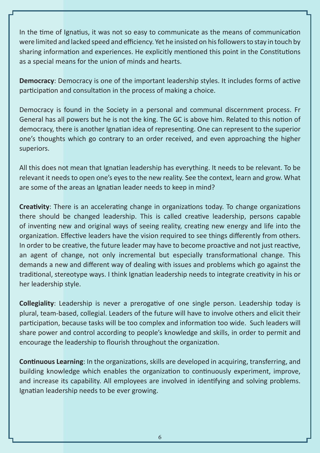In the time of Ignatius, it was not so easy to communicate as the means of communication were limited and lacked speed and efficiency. Yet he insisted on his followers to stay in touch by sharing information and experiences. He explicitly mentioned this point in the Constitutions as a special means for the union of minds and hearts.

**Democracy**: Democracy is one of the important leadership styles. It includes forms of active participation and consultation in the process of making a choice.

Democracy is found in the Society in a personal and communal discernment process. Fr General has all powers but he is not the king. The GC is above him. Related to this notion of democracy, there is another Ignatian idea of representing. One can represent to the superior one's thoughts which go contrary to an order received, and even approaching the higher superiors.

All this does not mean that Ignatian leadership has everything. It needs to be relevant. To be relevant it needs to open one's eyes to the new reality. See the context, learn and grow. What are some of the areas an Ignatian leader needs to keep in mind?

**Creativity**: There is an accelerating change in organizations today. To change organizations there should be changed leadership. This is called creative leadership, persons capable of inventing new and original ways of seeing reality, creating new energy and life into the organization. Effective leaders have the vision required to see things differently from others. In order to be creative, the future leader may have to become proactive and not just reactive. an agent of change, not only incremental but especially transformational change. This demands a new and different way of dealing with issues and problems which go against the traditional, stereotype ways. I think Ignatian leadership needs to integrate creativity in his or her leadership style.

**Collegiality**: Leadership is never a prerogative of one single person. Leadership today is plural, team-based, collegial. Leaders of the future will have to involve others and elicit their participation, because tasks will be too complex and information too wide. Such leaders will share power and control according to people's knowledge and skills, in order to permit and encourage the leadership to flourish throughout the organization.

**Continuous Learning:** In the organizations, skills are developed in acquiring, transferring, and building knowledge which enables the organization to continuously experiment, improve, and increase its capability. All employees are involved in identifying and solving problems. Ignatian leadership needs to be ever growing.